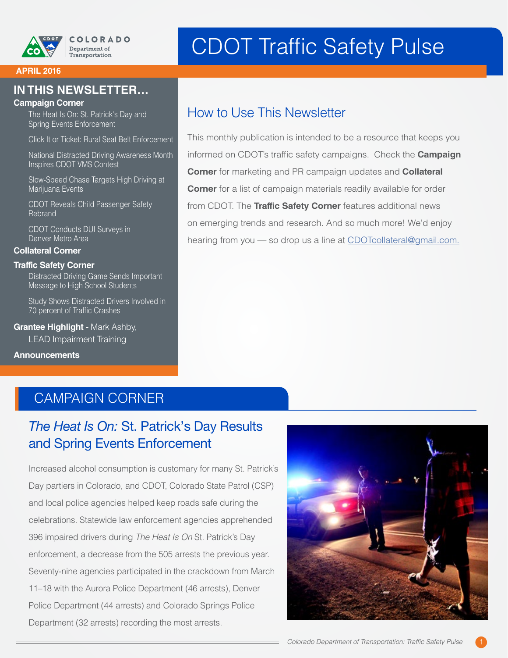

# CDOT Traffic Safety Pulse

#### **APRIL 2016**

### **IN THIS NEWSLETTER…**

#### **Campaign Corner**

The Heat Is On: St. Patrick's Day and Spring Events Enforcement

Click It or Ticket: Rural Seat Belt Enforcement

National Distracted Driving Awareness Month Inspires CDOT VMS Contest

Slow-Speed Chase Targets High Driving at Marijuana Events

CDOT Reveals Child Passenger Safety Rebrand

CDOT Conducts DUI Surveys in Denver Metro Area

#### **Collateral Corner**

#### **Traffic Safety Corner**

Distracted Driving Game Sends Important Message to High School Students

Study Shows Distracted Drivers Involved in 70 percent of Traffic Crashes

**Grantee Highlight -** Mark Ashby, LEAD Impairment Training

#### **Announcements**

# How to Use This Newsletter

This monthly publication is intended to be a resource that keeps you informed on CDOT's traffic safety campaigns. Check the **Campaign Corner** for marketing and PR campaign updates and **Collateral Corner** for a list of campaign materials readily available for order from CDOT. The **Traffic Safety Corner** features additional news on emerging trends and research. And so much more! We'd enjoy hearing from you - so drop us a line at [CDOTcollateral@gmail.com.](mailto:CDOTcollateral@gmail.com)

### CAMPAIGN CORNER

# *The Heat Is On:* St. Patrick's Day Results and Spring Events Enforcement

Increased alcohol consumption is customary for many St. Patrick's Day partiers in Colorado, and CDOT, Colorado State Patrol (CSP) and local police agencies helped keep roads safe during the celebrations. Statewide law enforcement agencies apprehended 396 impaired drivers during *The Heat Is On* St. Patrick's Day enforcement, a decrease from the 505 arrests the previous year. Seventy-nine agencies participated in the crackdown from March 11–18 with the Aurora Police Department (46 arrests), Denver Police Department (44 arrests) and Colorado Springs Police Department (32 arrests) recording the most arrests.

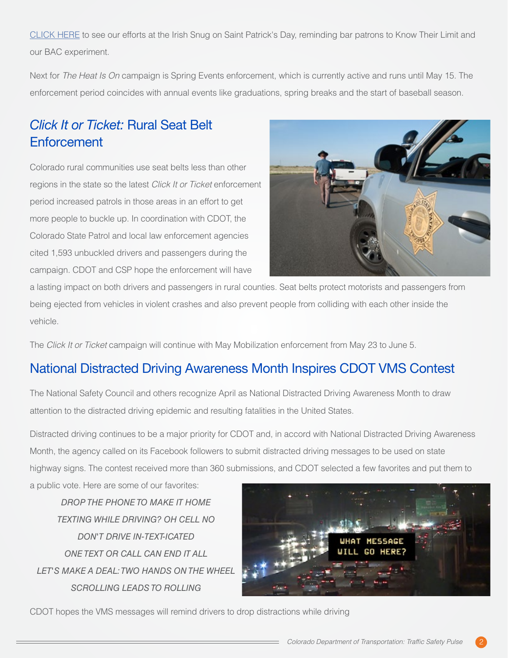[CLICK HERE](https://youtu.be/jI1miXzleW8) to see our efforts at the Irish Snug on Saint Patrick's Day, reminding bar patrons to Know Their Limit and our BAC experiment.

Next for *The Heat Is On* campaign is Spring Events enforcement, which is currently active and runs until May 15. The enforcement period coincides with annual events like graduations, spring breaks and the start of baseball season.

# *Click It or Ticket:* Rural Seat Belt **Enforcement**

Colorado rural communities use seat belts less than other regions in the state so the latest *Click It or Ticket* enforcement period increased patrols in those areas in an effort to get more people to buckle up. In coordination with CDOT, the Colorado State Patrol and local law enforcement agencies cited 1,593 unbuckled drivers and passengers during the campaign. CDOT and CSP hope the enforcement will have



a lasting impact on both drivers and passengers in rural counties. Seat belts protect motorists and passengers from being ejected from vehicles in violent crashes and also prevent people from colliding with each other inside the vehicle.

The *Click It or Ticket* campaign will continue with May Mobilization enforcement from May 23 to June 5.

# National Distracted Driving Awareness Month Inspires CDOT VMS Contest

The National Safety Council and others recognize April as National Distracted Driving Awareness Month to draw attention to the distracted driving epidemic and resulting fatalities in the United States.

Distracted driving continues to be a major priority for CDOT and, in accord with National Distracted Driving Awareness Month, the agency called on its Facebook followers to submit distracted driving messages to be used on state highway signs. The contest received more than 360 submissions, and CDOT selected a few favorites and put them to

a public vote. Here are some of our favorites:

*DROP THE PHONE TO MAKE IT HOME TEXTING WHILE DRIVING? OH CELL NO DON'T DRIVE IN-TEXT-ICATED ONE TEXT OR CALL CAN END IT ALL LET'S MAKE A DEAL: TWO HANDS ON THE WHEEL SCROLLING LEADS TO ROLLING*



CDOT hopes the VMS messages will remind drivers to drop distractions while driving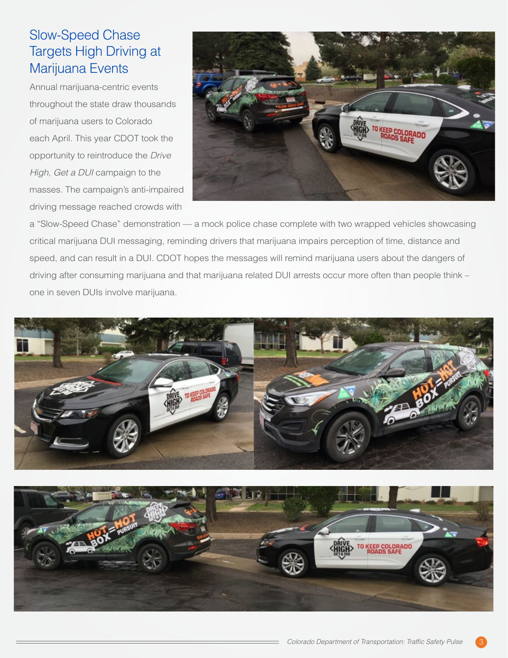# Slow-Speed Chase Targets High Driving at Marijuana Events

Annual marijuana-centric events throughout the state draw thousands of marijuana users to Colorado each April. This year CDOT took the opportunity to reintroduce the *Drive High, Get a DUI* campaign to the masses. The campaign's anti-impaired driving message reached crowds with



a "Slow-Speed Chase" demonstration — a mock police chase complete with two wrapped vehicles showcasing critical marijuana DUI messaging, reminding drivers that marijuana impairs perception of time, distance and speed, and can result in a DUI. CDOT hopes the messages will remind marijuana users about the dangers of driving after consuming marijuana and that marijuana related DUI arrests occur more often than people think – one in seven DUIs involve marijuana.



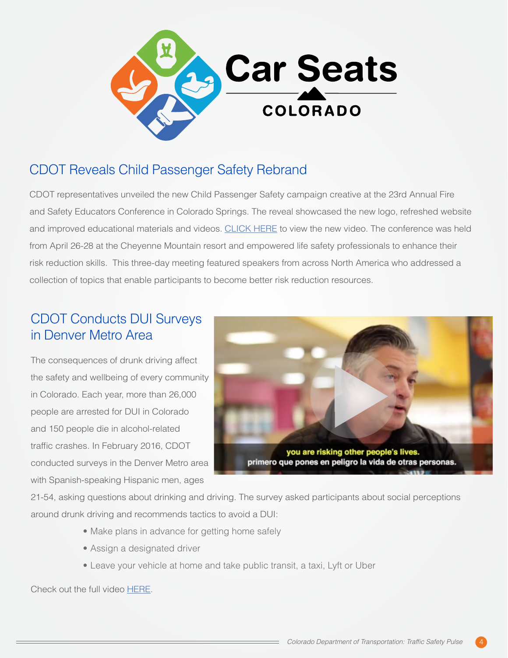

# CDOT Reveals Child Passenger Safety Rebrand

CDOT representatives unveiled the new Child Passenger Safety campaign creative at the 23rd Annual Fire and Safety Educators Conference in Colorado Springs. The reveal showcased the new logo, refreshed website and improved educational materials and videos. [CLICK HERE](https://youtu.be/seQhTFy0q14) to view the new video. The conference was held from April 26-28 at the Cheyenne Mountain resort and empowered life safety professionals to enhance their risk reduction skills. This three-day meeting featured speakers from across North America who addressed a collection of topics that enable participants to become better risk reduction resources.

# CDOT Conducts DUI Surveys in Denver Metro Area

The consequences of drunk driving affect the safety and wellbeing of every community in Colorado. Each year, more than 26,000 people are arrested for DUI in Colorado and 150 people die in alcohol-related traffic crashes. In February 2016, CDOT conducted surveys in the Denver Metro area with Spanish-speaking Hispanic men, ages



21-54, asking questions about drinking and driving. The survey asked participants about social perceptions around drunk driving and recommends tactics to avoid a DUI:

- Make plans in advance for getting home safely
- Assign a designated driver
- Leave your vehicle at home and take public transit, a taxi, Lyft or Uber

Check out the full video [HERE](https://www.youtube.com/watch?v=ulBj1lfECxY&feature=youtu.be).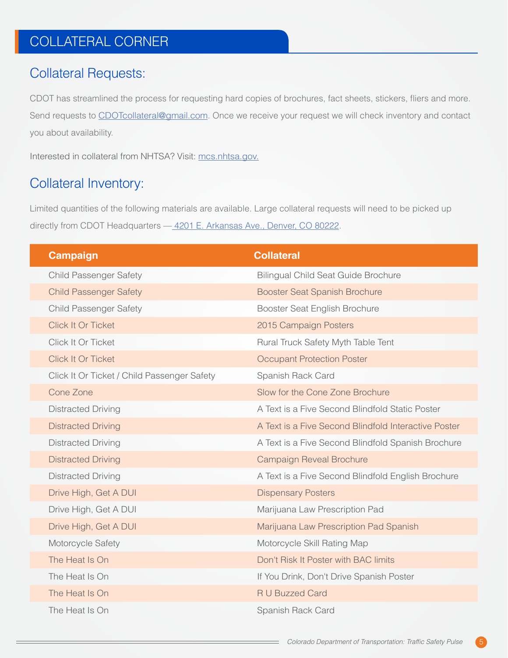# COLLATERAL CORNER

### Collateral Requests:

CDOT has streamlined the process for requesting hard copies of brochures, fact sheets, stickers, fliers and more. Send requests to [CDOTcollateral@gmail.com](mailto:CDOTcollateral@gmail.com). Once we receive your request we will check inventory and contact you about availability.

Interested in collateral from NHTSA? Visit: [mcs.nhtsa.gov](http://mcs.nhtsa.gov).

# Collateral Inventory:

Limited quantities of the following materials are available. Large collateral requests will need to be picked up directly from CDOT Headquarters - 4201 E. Arkansas Ave., Denver, CO 80222.

| <b>Campaign</b>                             | <b>Collateral</b>                                    |
|---------------------------------------------|------------------------------------------------------|
| <b>Child Passenger Safety</b>               | <b>Bilingual Child Seat Guide Brochure</b>           |
| <b>Child Passenger Safety</b>               | <b>Booster Seat Spanish Brochure</b>                 |
| <b>Child Passenger Safety</b>               | Booster Seat English Brochure                        |
| <b>Click It Or Ticket</b>                   | 2015 Campaign Posters                                |
| Click It Or Ticket                          | Rural Truck Safety Myth Table Tent                   |
| Click It Or Ticket                          | <b>Occupant Protection Poster</b>                    |
| Click It Or Ticket / Child Passenger Safety | Spanish Rack Card                                    |
| Cone Zone                                   | Slow for the Cone Zone Brochure                      |
| <b>Distracted Driving</b>                   | A Text is a Five Second Blindfold Static Poster      |
| <b>Distracted Driving</b>                   | A Text is a Five Second Blindfold Interactive Poster |
| <b>Distracted Driving</b>                   | A Text is a Five Second Blindfold Spanish Brochure   |
| <b>Distracted Driving</b>                   | <b>Campaign Reveal Brochure</b>                      |
| <b>Distracted Driving</b>                   | A Text is a Five Second Blindfold English Brochure   |
| Drive High, Get A DUI                       | <b>Dispensary Posters</b>                            |
| Drive High, Get A DUI                       | Marijuana Law Prescription Pad                       |
| Drive High, Get A DUI                       | Marijuana Law Prescription Pad Spanish               |
| Motorcycle Safety                           | Motorcycle Skill Rating Map                          |
| The Heat Is On                              | Don't Risk It Poster with BAC limits                 |
| The Heat Is On                              | If You Drink, Don't Drive Spanish Poster             |
| The Heat Is On                              | <b>R U Buzzed Card</b>                               |
| The Heat Is On                              | Spanish Rack Card                                    |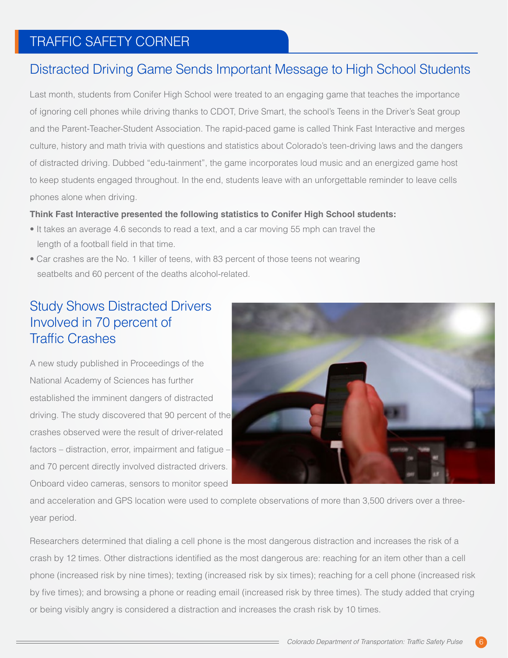# TRAFFIC SAFETY CORNER

# Distracted Driving Game Sends Important Message to High School Students

Last month, students from Conifer High School were treated to an engaging game that teaches the importance of ignoring cell phones while driving thanks to CDOT, Drive Smart, the school's Teens in the Driver's Seat group and the Parent-Teacher-Student Association. The rapid-paced game is called Think Fast Interactive and merges culture, history and math trivia with questions and statistics about Colorado's teen-driving laws and the dangers of distracted driving. Dubbed "edu-tainment", the game incorporates loud music and an energized game host to keep students engaged throughout. In the end, students leave with an unforgettable reminder to leave cells phones alone when driving.

#### **Think Fast Interactive presented the following statistics to Conifer High School students:**

- It takes an average 4.6 seconds to read a text, and a car moving 55 mph can travel the length of a football field in that time.
- Car crashes are the No. 1 killer of teens, with 83 percent of those teens not wearing seatbelts and 60 percent of the deaths alcohol-related.

# Study Shows Distracted Drivers Involved in 70 percent of Traffic Crashes

A new study published in Proceedings of the National Academy of Sciences has further established the imminent dangers of distracted driving. The study discovered that 90 percent of the crashes observed were the result of driver-related factors – distraction, error, impairment and fatigue – and 70 percent directly involved distracted drivers. Onboard video cameras, sensors to monitor speed



and acceleration and GPS location were used to complete observations of more than 3,500 drivers over a threeyear period.

Researchers determined that dialing a cell phone is the most dangerous distraction and increases the risk of a crash by 12 times. Other distractions identified as the most dangerous are: reaching for an item other than a cell phone (increased risk by nine times); texting (increased risk by six times); reaching for a cell phone (increased risk by five times); and browsing a phone or reading email (increased risk by three times). The study added that crying or being visibly angry is considered a distraction and increases the crash risk by 10 times.